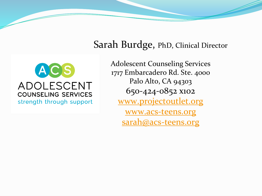#### ACS ADOLESCENT **COUNSELING SERVICES** strength through support

Sarah Burdge, PhD, Clinical Director

Adolescent Counseling Services 1717 Embarcadero Rd. Ste. 4000 Palo Alto, CA 94303 650-424-0852 x102 [www.projectoutlet.org](http://www.projectoutlet.org/) [www.acs-teens.org](http://www.acs-teens.org/) [sarah@acs-teens.org](mailto:anthony@acs-teens.org)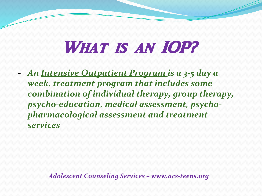# WHAT IS AN IOP?

- *An Intensive Outpatient Program is a 3-5 day a week, treatment program that includes some combination of individual therapy, group therapy, psycho-education, medical assessment, psychopharmacological assessment and treatment services*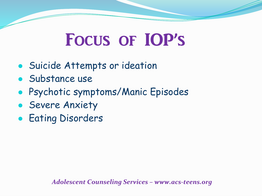# Focus of IOP's

- Suicide Attempts or ideation
- Substance use
- Psychotic symptoms/Manic Episodes
- **Severe Anxiety**
- **Eating Disorders**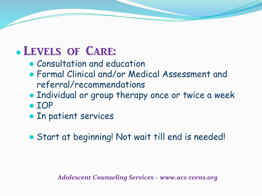### ● Levels of Care:

- Consultation and education
- Formal Clinical and/or Medical Assessment and referral/recommendations
- Individual or group therapy once or twice a week
- IOP
- In patient services

● Start at beginning! Not wait till end is needed!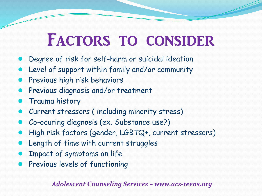## FACTORS TO CONSIDER

- Degree of risk for self-harm or suicidal ideation
- Level of support within family and/or community
- Previous high risk behaviors
- Previous diagnosis and/or treatment
- **Trauma history**
- Current stressors (including minority stress)
- Co-ocuring diagnosis (ex. Substance use?)
- High risk factors (gender, LGBTQ+, current stressors)
- Length of time with current struggles
- Impact of symptoms on life
- Previous levels of functioning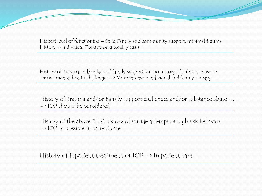Highest level of functioning – Solid Family and community support, minimal trauma History -> Individual Therapy on a weekly basis

History of Trauma and/or lack of family support but no history of substance use or serious mental health challenges - > More intensive individual and family therapy

History of Trauma and/or Family support challenges and/or substance abuse…. - > IOP should be considered

History of the above PLUS history of suicide attempt or high risk behavior -> IOP or possible in patient care

History of inpatient treatment or IOP - > In patient care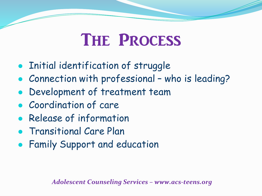# THE PROCESS

- Initial identification of struggle
- Connection with professional who is leading?
- Development of treatment team
- Coordination of care
- Release of information
- Transitional Care Plan
- Family Support and education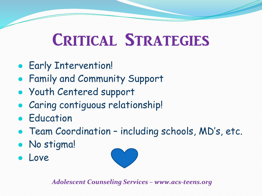# Critical Strategies

- Early Intervention!
- Family and Community Support
- Youth Centered support
- **Caring contiguous relationship!**
- **Education**
- Team Coordination including schools, MD's, etc.
- No stigma!
- Love